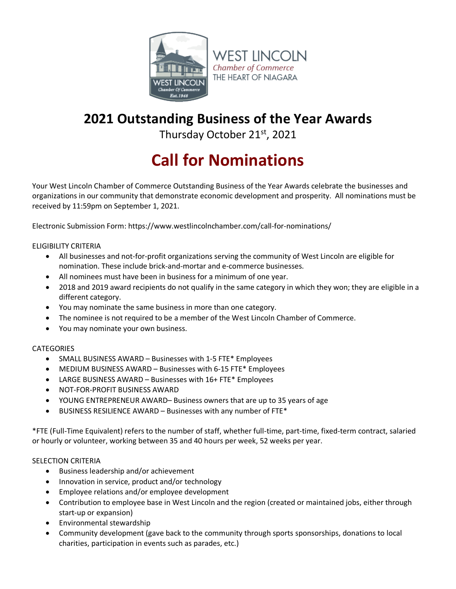

# **2021 Outstanding Business of the Year Awards**

Thursday October 21<sup>st</sup>, 2021

# **Call for Nominations**

Your West Lincoln Chamber of Commerce Outstanding Business of the Year Awards celebrate the businesses and organizations in our community that demonstrate economic development and prosperity. All nominations must be received by 11:59pm on September 1, 2021.

Electronic Submission Form: https://www.westlincolnchamber.com/call-for-nominations/

ELIGIBILITY CRITERIA

- All businesses and not-for-profit organizations serving the community of West Lincoln are eligible for nomination. These include brick-and-mortar and e-commerce businesses.
- All nominees must have been in business for a minimum of one year.
- 2018 and 2019 award recipients do not qualify in the same category in which they won; they are eligible in a different category.
- You may nominate the same business in more than one category.
- The nominee is not required to be a member of the West Lincoln Chamber of Commerce.
- You may nominate your own business.

#### **CATEGORIES**

- SMALL BUSINESS AWARD Businesses with 1-5 FTE\* Employees
- MEDIUM BUSINESS AWARD Businesses with 6-15 FTE\* Employees
- LARGE BUSINESS AWARD Businesses with 16+ FTE\* Employees
- NOT-FOR-PROFIT BUSINESS AWARD
- YOUNG ENTREPRENEUR AWARD– Business owners that are up to 35 years of age
- BUSINESS RESILIENCE AWARD Businesses with any number of FTE\*

\*FTE (Full-Time Equivalent) refers to the number of staff, whether full-time, part-time, fixed-term contract, salaried or hourly or volunteer, working between 35 and 40 hours per week, 52 weeks per year.

#### SELECTION CRITERIA

- Business leadership and/or achievement
- Innovation in service, product and/or technology
- Employee relations and/or employee development
- Contribution to employee base in West Lincoln and the region (created or maintained jobs, either through start-up or expansion)
- Environmental stewardship
- Community development (gave back to the community through sports sponsorships, donations to local charities, participation in events such as parades, etc.)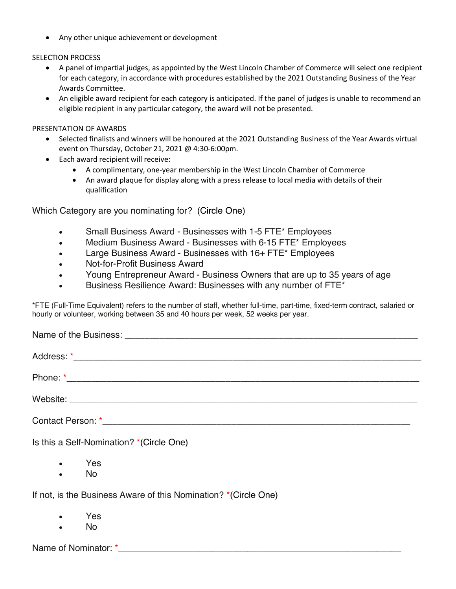• Any other unique achievement or development

## SELECTION PROCESS

- A panel of impartial judges, as appointed by the West Lincoln Chamber of Commerce will select one recipient for each category, in accordance with procedures established by the 2021 Outstanding Business of the Year Awards Committee.
- An eligible award recipient for each category is anticipated. If the panel of judges is unable to recommend an eligible recipient in any particular category, the award will not be presented.

### PRESENTATION OF AWARDS

- Selected finalists and winners will be honoured at the 2021 Outstanding Business of the Year Awards virtual event on Thursday, October 21, 2021 @ 4:30-6:00pm.
- Each award recipient will receive:
	- A complimentary, one-year membership in the West Lincoln Chamber of Commerce
	- An award plaque for display along with a press release to local media with details of their qualification

Which Category are you nominating for? (Circle One)

- Small Business Award Businesses with 1-5 FTE\* Employees
- Medium Business Award Businesses with 6-15 FTE\* Employees
- Large Business Award Businesses with 16+ FTE\* Employees
- Not-for-Profit Business Award
- Young Entrepreneur Award Business Owners that are up to 35 years of age
- Business Resilience Award: Businesses with any number of FTE\*

\*FTE (Full-Time Equivalent) refers to the number of staff, whether full-time, part-time, fixed-term contract, salaried or hourly or volunteer, working between 35 and 40 hours per week, 52 weeks per year.

| Is this a Self-Nomination? *(Circle One) |
|------------------------------------------|
| Yes<br>$\bullet$                         |

• No

If not, is the Business Aware of this Nomination? \*(Circle One)

- Yes
- No

Name of Nominator: \*